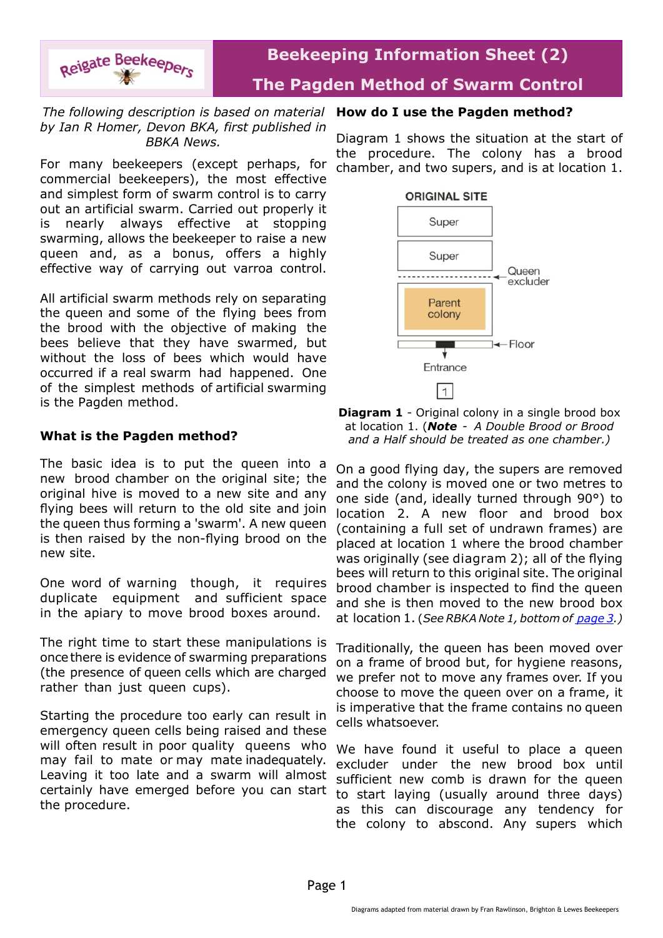

# **Beekeeping Information Sheet (2) The Pagden Method of Swarm Control**

## *The following description is based on material by Ian R Homer, Devon BKA, first published in BBKA News.*

For many beekeepers (except perhaps, for commercial beekeepers), the most effective and simplest form of swarm control is to carry out an artificial swarm. Carried out properly it is nearly always effective at stopping swarming, allows the beekeeper to raise a new queen and, as a bonus, offers a highly effective way of carrying out varroa control.

All artificial swarm methods rely on separating the queen and some of the flying bees from the brood with the objective of making the bees believe that they have swarmed, but without the loss of bees which would have occurred if a real swarm had happened. One of the simplest methods of artificial swarming is the Pagden method.

# **What is the Pagden method?**

The basic idea is to put the queen into a new brood chamber on the original site; the original hive is moved to a new site and any flying bees will return to the old site and join the queen thus forming a 'swarm'. A new queen is then raised by the non-flying brood on the new site.

One word of warning though, it requires duplicate equipment and sufficient space in the apiary to move brood boxes around.

The right time to start these manipulations is once there is evidence of swarming preparations (the presence of queen cells which are charged rather than just queen cups).

Starting the procedure too early can result in emergency queen cells being raised and these will often result in poor quality queens who may fail to mate or may mate inadequately. Leaving it too late and a swarm will almost certainly have emerged before you can start the procedure.

## **How do I use the Pagden method?**

Diagram 1 shows the situation at the start of the procedure. The colony has a brood chamber, and two supers, and is at location 1.



**Diagram 1** - Original colony in a single brood box at location 1. (*Note - A Double Brood or Brood and a Half should be treated as one chamber.)*

On a good flying day, the supers are removed and the colony is moved one or two metres to one side (and, ideally turned through 90°) to location 2. A new floor and brood box (containing a full set of undrawn frames) are placed at location 1 where the brood chamber was originally (see diagram 2); all of the flying bees will return to this original site. The original brood chamber is inspected to find the queen and she is then moved to the new brood box at location 1. (*See RBKA Note 1, bottom of [page 3](#page-2-0).)*

Traditionally, the queen has been moved over on a frame of brood but, for hygiene reasons, we prefer not to move any frames over. If you choose to move the queen over on a frame, it is imperative that the frame contains no queen cells whatsoever.

We have found it useful to place a queen excluder under the new brood box until sufficient new comb is drawn for the queen to start laying (usually around three days) as this can discourage any tendency for the colony to abscond. Any supers which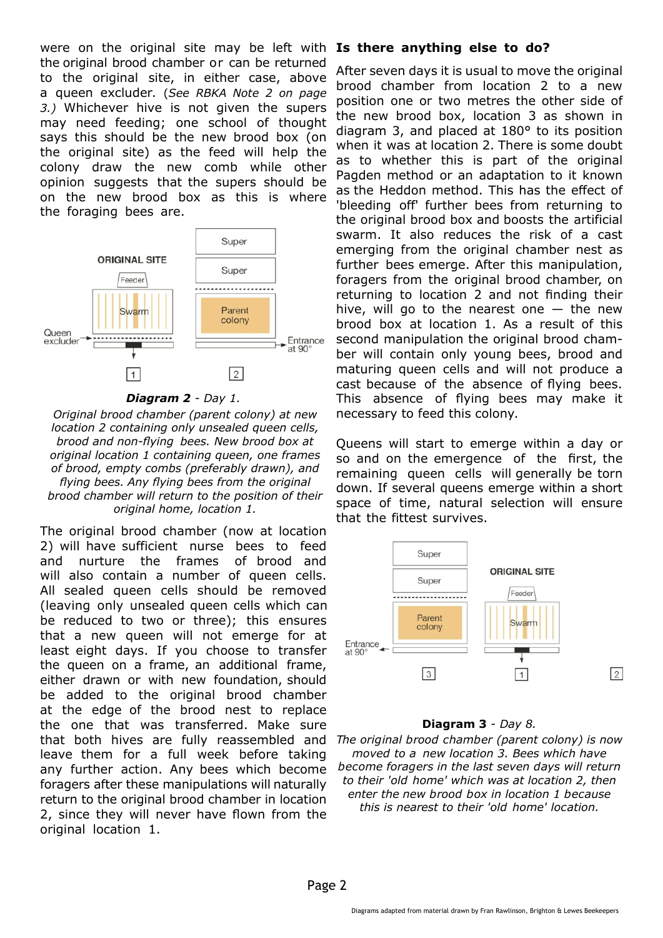were on the original site may be left with the original brood chamber or can be returned to the original site, in either case, above a queen excluder. (*See RBKA Note 2 on page 3.)* Whichever hive is not given the supers may need feeding; one school of thought says this should be the new brood box (on the original site) as the feed will help the colony draw the new comb while other opinion suggests that the supers should be on the new brood box as this is where the foraging bees are.



#### *Diagram 2 - Day 1.*

*Original brood chamber (parent colony) at new location 2 containing only unsealed queen cells, brood and nonflying bees. New brood box at original location 1 containing queen, one frames of brood, empty combs (preferably drawn), and flying bees. Any flying bees from the original brood chamber will return to the position of their original home, location 1.*

The original brood chamber (now at location 2) will have sufficient nurse bees to feed and nurture the frames of brood and will also contain a number of queen cells. All sealed queen cells should be removed (leaving only unsealed queen cells which can be reduced to two or three); this ensures that a new queen will not emerge for at least eight days. If you choose to transfer the queen on a frame, an additional frame, either drawn or with new foundation, should be added to the original brood chamber at the edge of the brood nest to replace the one that was transferred. Make sure that both hives are fully reassembled and leave them for a full week before taking any further action. Any bees which become foragers after these manipulations will naturally return to the original brood chamber in location 2, since they will never have flown from the original location 1.

## **Is there anything else to do?**

After seven days it is usual to move the original brood chamber from location 2 to a new position one or two metres the other side of the new brood box, location 3 as shown in diagram 3, and placed at 180° to its position when it was at location 2. There is some doubt as to whether this is part of the original Pagden method or an adaptation to it known as the Heddon method. This has the effect of 'bleeding off' further bees from returning to the original brood box and boosts the artificial swarm. It also reduces the risk of a cast emerging from the original chamber nest as further bees emerge. After this manipulation, foragers from the original brood chamber, on returning to location 2 and not finding their hive, will go to the nearest one  $-$  the new brood box at location 1. As a result of this second manipulation the original brood chamber will contain only young bees, brood and maturing queen cells and will not produce a cast because of the absence of flying bees. This absence of flying bees may make it necessary to feed this colony.

Queens will start to emerge within a day or so and on the emergence of the first, the remaining queen cells will generally be torn down. If several queens emerge within a short space of time, natural selection will ensure that the fittest survives.



#### **Diagram 3** - *Day 8.*

*The original brood chamber (parent colony) is now moved to a new location 3. Bees which have become foragers in the last seven days will return to their 'old home' which was at location 2, then enter the new brood box in location 1 because this is nearest to their 'old home' location.*